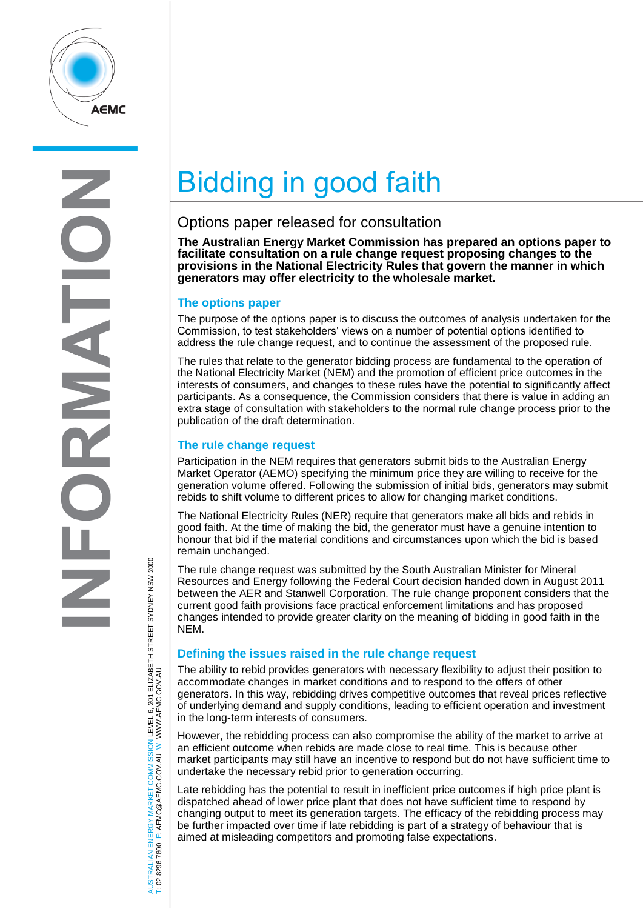

 $\overline{\mathbf{A}}$ Z

# Bidding in good faith

# Options paper released for consultation

**The Australian Energy Market Commission has prepared an options paper to facilitate consultation on a rule change request proposing changes to the provisions in the National Electricity Rules that govern the manner in which generators may offer electricity to the wholesale market.**

### **The options paper**

The purpose of the options paper is to discuss the outcomes of analysis undertaken for the Commission, to test stakeholders' views on a number of potential options identified to address the rule change request, and to continue the assessment of the proposed rule.

The rules that relate to the generator bidding process are fundamental to the operation of the National Electricity Market (NEM) and the promotion of efficient price outcomes in the interests of consumers, and changes to these rules have the potential to significantly affect participants. As a consequence, the Commission considers that there is value in adding an extra stage of consultation with stakeholders to the normal rule change process prior to the publication of the draft determination.

#### **The rule change request**

Participation in the NEM requires that generators submit bids to the Australian Energy Market Operator (AEMO) specifying the minimum price they are willing to receive for the generation volume offered. Following the submission of initial bids, generators may submit rebids to shift volume to different prices to allow for changing market conditions.

The National Electricity Rules (NER) require that generators make all bids and rebids in good faith. At the time of making the bid, the generator must have a genuine intention to honour that bid if the material conditions and circumstances upon which the bid is based remain unchanged.

The rule change request was submitted by the South Australian Minister for Mineral Resources and Energy following the Federal Court decision handed down in August 2011 between the AER and Stanwell Corporation. The rule change proponent considers that the current good faith provisions face practical enforcement limitations and has proposed changes intended to provide greater clarity on the meaning of bidding in good faith in the NEM.

## **Defining the issues raised in the rule change request**

The ability to rebid provides generators with necessary flexibility to adjust their position to accommodate changes in market conditions and to respond to the offers of other generators. In this way, rebidding drives competitive outcomes that reveal prices reflective of underlying demand and supply conditions, leading to efficient operation and investment in the long-term interests of consumers.

However, the rebidding process can also compromise the ability of the market to arrive at an efficient outcome when rebids are made close to real time. This is because other market participants may still have an incentive to respond but do not have sufficient time to undertake the necessary rebid prior to generation occurring.

Late rebidding has the potential to result in inefficient price outcomes if high price plant is dispatched ahead of lower price plant that does not have sufficient time to respond by changing output to meet its generation targets. The efficacy of the rebidding process may be further impacted over time if late rebidding is part of a strategy of behaviour that is aimed at misleading competitors and promoting false expectations.

AUSTRALIAN ENERGY MARKET COMMISSION LEVEL 6, 201 ELIZABETH STREET SYDNEY NSW 2000 AUSTRALIAN ENERGY MARKET COMMISSION LEVEL 6, 201 ELIZABETH STREET SYDNEY NSW 2000<br>T: 02 8296 7800 E: AEMC@AEMC.GOV.AU W: WWW.AEMC.GOV.AU W: WWW.AEMC.GOV.AU T: 02 8296 7800 E: AEMC@AEMC.GOV.AU